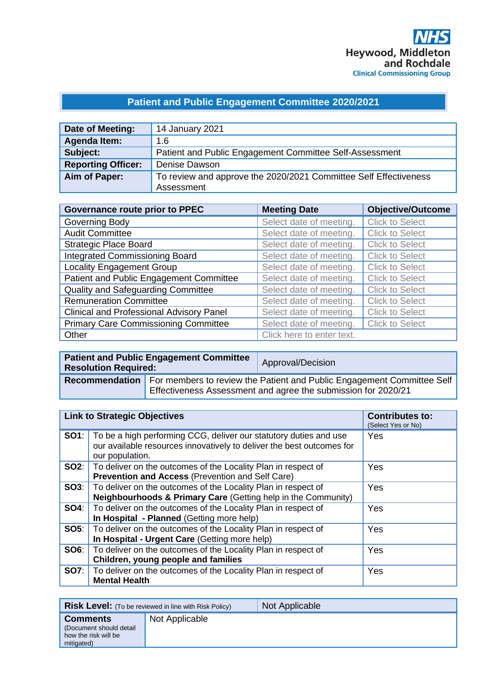# **Patient and Public Engagement Committee 2020/2021**

| Date of Meeting:          | 14 January 2021                                                  |
|---------------------------|------------------------------------------------------------------|
| Agenda Item:              | 1.6                                                              |
| Subject:                  | Patient and Public Engagement Committee Self-Assessment          |
| <b>Reporting Officer:</b> | Denise Dawson                                                    |
| Aim of Paper:             | To review and approve the 2020/2021 Committee Self Effectiveness |
|                           | Assessment                                                       |

| <b>Governance route prior to PPEC</b>           | <b>Meeting Date</b>       | <b>Objective/Outcome</b> |
|-------------------------------------------------|---------------------------|--------------------------|
| Governing Body                                  | Select date of meeting.   | <b>Click to Select</b>   |
| <b>Audit Committee</b>                          | Select date of meeting.   | <b>Click to Select</b>   |
| <b>Strategic Place Board</b>                    | Select date of meeting.   | <b>Click to Select</b>   |
| <b>Integrated Commissioning Board</b>           | Select date of meeting.   | <b>Click to Select</b>   |
| <b>Locality Engagement Group</b>                | Select date of meeting.   | <b>Click to Select</b>   |
| Patient and Public Engagement Committee         | Select date of meeting.   | <b>Click to Select</b>   |
| <b>Quality and Safeguarding Committee</b>       | Select date of meeting.   | <b>Click to Select</b>   |
| <b>Remuneration Committee</b>                   | Select date of meeting.   | <b>Click to Select</b>   |
| <b>Clinical and Professional Advisory Panel</b> | Select date of meeting.   | <b>Click to Select</b>   |
| <b>Primary Care Commissioning Committee</b>     | Select date of meeting.   | <b>Click to Select</b>   |
| Other                                           | Click here to enter text. |                          |

| <b>Resolution Required:</b> | <b>Patient and Public Engagement Committee</b>                                                                                                                    | Approval/Decision |
|-----------------------------|-------------------------------------------------------------------------------------------------------------------------------------------------------------------|-------------------|
|                             | <b>Recommendation</b>   For members to review the Patient and Public Engagement Committee Self  <br>Effectiveness Assessment and agree the submission for 2020/21 |                   |

| <b>Link to Strategic Objectives</b> |                                                                                                                                                               | <b>Contributes to:</b><br>(Select Yes or No) |
|-------------------------------------|---------------------------------------------------------------------------------------------------------------------------------------------------------------|----------------------------------------------|
| SO1:                                | To be a high performing CCG, deliver our statutory duties and use<br>our available resources innovatively to deliver the best outcomes for<br>our population. | Yes                                          |
| SO2:                                | To deliver on the outcomes of the Locality Plan in respect of<br><b>Prevention and Access (Prevention and Self Care)</b>                                      | Yes                                          |
| SOS:                                | To deliver on the outcomes of the Locality Plan in respect of<br>Neighbourhoods & Primary Care (Getting help in the Community)                                | Yes                                          |
| <b>SO4:</b>                         | To deliver on the outcomes of the Locality Plan in respect of<br>In Hospital - Planned (Getting more help)                                                    | Yes                                          |
| SOS:                                | To deliver on the outcomes of the Locality Plan in respect of<br>In Hospital - Urgent Care (Getting more help)                                                | Yes                                          |
| <b>SO6:</b>                         | To deliver on the outcomes of the Locality Plan in respect of<br>Children, young people and families                                                          | Yes                                          |
| <b>SO7:</b>                         | To deliver on the outcomes of the Locality Plan in respect of<br><b>Mental Health</b>                                                                         | Yes                                          |

| <b>Risk Level:</b> (To be reviewed in line with Risk Policy)                      |                | Not Applicable |
|-----------------------------------------------------------------------------------|----------------|----------------|
| <b>Comments</b><br>(Document should detail)<br>how the risk will be<br>mitigated) | Not Applicable |                |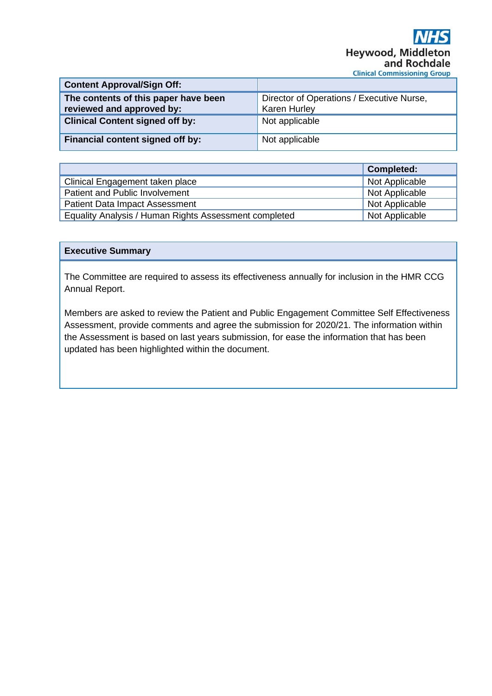| <b>Content Approval/Sign Off:</b>                                 |                                                                  |
|-------------------------------------------------------------------|------------------------------------------------------------------|
| The contents of this paper have been<br>reviewed and approved by: | Director of Operations / Executive Nurse,<br><b>Karen Hurley</b> |
| <b>Clinical Content signed off by:</b>                            | Not applicable                                                   |
| Financial content signed off by:                                  | Not applicable                                                   |

|                                                       | <b>Completed:</b> |
|-------------------------------------------------------|-------------------|
| Clinical Engagement taken place                       | Not Applicable    |
| Patient and Public Involvement                        | Not Applicable    |
| <b>Patient Data Impact Assessment</b>                 | Not Applicable    |
| Equality Analysis / Human Rights Assessment completed | Not Applicable    |

#### **Executive Summary**

The Committee are required to assess its effectiveness annually for inclusion in the HMR CCG Annual Report.

Members are asked to review the Patient and Public Engagement Committee Self Effectiveness Assessment, provide comments and agree the submission for 2020/21. The information within the Assessment is based on last years submission, for ease the information that has been updated has been highlighted within the document.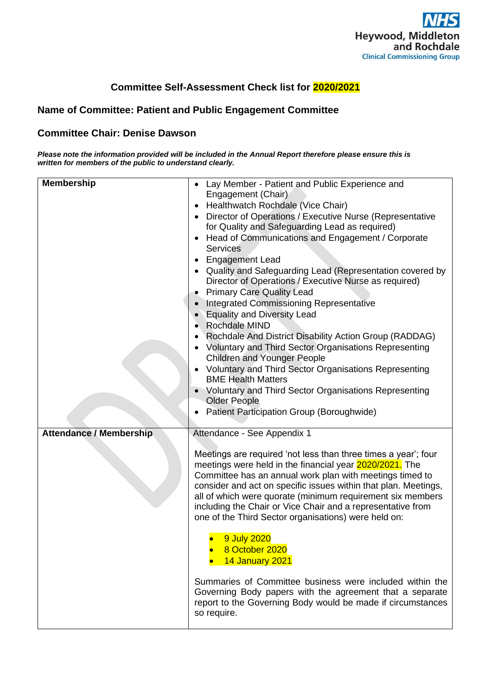

## **Committee Self-Assessment Check list for 2020/2021**

## **Name of Committee: Patient and Public Engagement Committee**

#### **Committee Chair: Denise Dawson**

*Please note the information provided will be included in the Annual Report therefore please ensure this is written for members of the public to understand clearly.* 

| <b>Membership</b>              | • Lay Member - Patient and Public Experience and<br>Engagement (Chair)<br>Healthwatch Rochdale (Vice Chair)<br>Director of Operations / Executive Nurse (Representative<br>for Quality and Safeguarding Lead as required)<br>Head of Communications and Engagement / Corporate<br><b>Services</b><br>Engagement Lead<br>Quality and Safeguarding Lead (Representation covered by<br>Director of Operations / Executive Nurse as required)<br><b>Primary Care Quality Lead</b><br>Integrated Commissioning Representative<br><b>Equality and Diversity Lead</b><br>• Rochdale MIND<br>• Rochdale And District Disability Action Group (RADDAG)<br><b>Voluntary and Third Sector Organisations Representing</b><br><b>Children and Younger People</b><br><b>Voluntary and Third Sector Organisations Representing</b><br><b>BME Health Matters</b><br>Voluntary and Third Sector Organisations Representing<br><b>Older People</b><br>Patient Participation Group (Boroughwide) |
|--------------------------------|-------------------------------------------------------------------------------------------------------------------------------------------------------------------------------------------------------------------------------------------------------------------------------------------------------------------------------------------------------------------------------------------------------------------------------------------------------------------------------------------------------------------------------------------------------------------------------------------------------------------------------------------------------------------------------------------------------------------------------------------------------------------------------------------------------------------------------------------------------------------------------------------------------------------------------------------------------------------------------|
| <b>Attendance / Membership</b> | Attendance - See Appendix 1<br>Meetings are required 'not less than three times a year'; four<br>meetings were held in the financial year 2020/2021. The<br>Committee has an annual work plan with meetings timed to<br>consider and act on specific issues within that plan. Meetings,<br>all of which were quorate (minimum requirement six members<br>including the Chair or Vice Chair and a representative from<br>one of the Third Sector organisations) were held on:<br>9 July 2020<br>8 October 2020<br>14 January 2021                                                                                                                                                                                                                                                                                                                                                                                                                                              |
|                                | Summaries of Committee business were included within the<br>Governing Body papers with the agreement that a separate<br>report to the Governing Body would be made if circumstances<br>so require.                                                                                                                                                                                                                                                                                                                                                                                                                                                                                                                                                                                                                                                                                                                                                                            |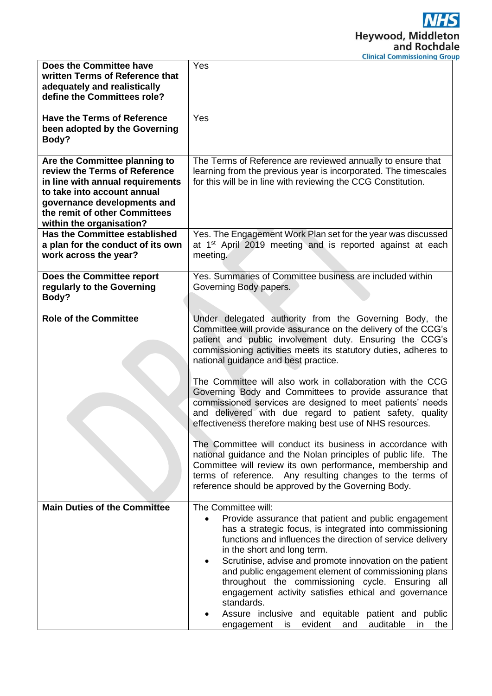|                                                                                                                                                                                                                               | cinneal commissioning arou                                                                                                                                                                                                                                                                                                                                                                                                                                                                                                                                                                                                                                                                                                                    |
|-------------------------------------------------------------------------------------------------------------------------------------------------------------------------------------------------------------------------------|-----------------------------------------------------------------------------------------------------------------------------------------------------------------------------------------------------------------------------------------------------------------------------------------------------------------------------------------------------------------------------------------------------------------------------------------------------------------------------------------------------------------------------------------------------------------------------------------------------------------------------------------------------------------------------------------------------------------------------------------------|
| <b>Does the Committee have</b><br>written Terms of Reference that<br>adequately and realistically<br>define the Committees role?                                                                                              | Yes                                                                                                                                                                                                                                                                                                                                                                                                                                                                                                                                                                                                                                                                                                                                           |
| <b>Have the Terms of Reference</b><br>been adopted by the Governing<br>Body?                                                                                                                                                  | Yes                                                                                                                                                                                                                                                                                                                                                                                                                                                                                                                                                                                                                                                                                                                                           |
| Are the Committee planning to<br>review the Terms of Reference<br>in line with annual requirements<br>to take into account annual<br>governance developments and<br>the remit of other Committees<br>within the organisation? | The Terms of Reference are reviewed annually to ensure that<br>learning from the previous year is incorporated. The timescales<br>for this will be in line with reviewing the CCG Constitution.                                                                                                                                                                                                                                                                                                                                                                                                                                                                                                                                               |
| <b>Has the Committee established</b><br>a plan for the conduct of its own<br>work across the year?                                                                                                                            | Yes. The Engagement Work Plan set for the year was discussed<br>at 1 <sup>st</sup> April 2019 meeting and is reported against at each<br>meeting.                                                                                                                                                                                                                                                                                                                                                                                                                                                                                                                                                                                             |
| Does the Committee report<br>regularly to the Governing<br>Body?                                                                                                                                                              | Yes. Summaries of Committee business are included within<br>Governing Body papers.                                                                                                                                                                                                                                                                                                                                                                                                                                                                                                                                                                                                                                                            |
| <b>Role of the Committee</b>                                                                                                                                                                                                  | Under delegated authority from the Governing Body, the<br>Committee will provide assurance on the delivery of the CCG's<br>patient and public involvement duty. Ensuring the CCG's<br>commissioning activities meets its statutory duties, adheres to<br>national guidance and best practice.<br>The Committee will also work in collaboration with the CCG<br>Governing Body and Committees to provide assurance that<br>commissioned services are designed to meet patients' needs<br>and delivered with due regard to patient safety, quality<br>effectiveness therefore making best use of NHS resources.<br>The Committee will conduct its business in accordance with<br>national guidance and the Nolan principles of public life. The |
|                                                                                                                                                                                                                               | Committee will review its own performance, membership and<br>terms of reference. Any resulting changes to the terms of<br>reference should be approved by the Governing Body.                                                                                                                                                                                                                                                                                                                                                                                                                                                                                                                                                                 |
| <b>Main Duties of the Committee</b>                                                                                                                                                                                           | The Committee will:<br>Provide assurance that patient and public engagement<br>has a strategic focus, is integrated into commissioning<br>functions and influences the direction of service delivery<br>in the short and long term.<br>Scrutinise, advise and promote innovation on the patient<br>$\bullet$<br>and public engagement element of commissioning plans<br>throughout the commissioning cycle. Ensuring all<br>engagement activity satisfies ethical and governance<br>standards.<br>Assure inclusive and equitable patient and public<br>evident<br>auditable<br>and<br>is<br>in.<br>the<br>engagement                                                                                                                          |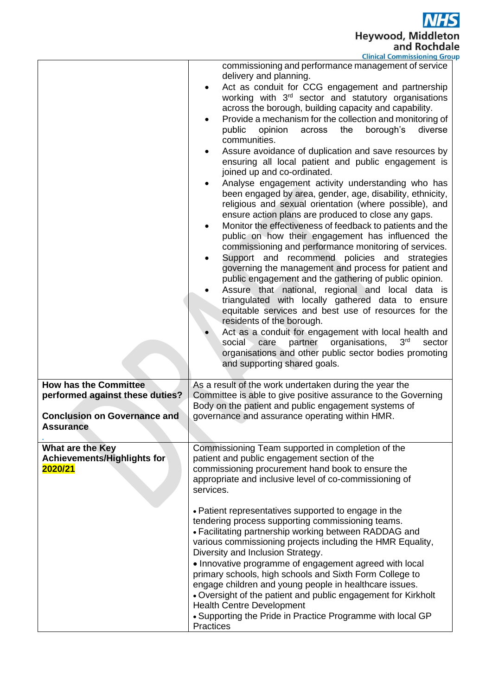**NHS** Heywood, Middleton<br>and Rochdale up

|                                                                   | <b>Clinical Commissioning Grou</b>                                                                                                                                                                                                                                                                                                                                                                                                                                                                                                                                                                                                                                                                                                                                                                                                                                                                                                                                                                                                                                                                                                                                                                                                                                                                                                                                                                                                                                                                                                                                                              |
|-------------------------------------------------------------------|-------------------------------------------------------------------------------------------------------------------------------------------------------------------------------------------------------------------------------------------------------------------------------------------------------------------------------------------------------------------------------------------------------------------------------------------------------------------------------------------------------------------------------------------------------------------------------------------------------------------------------------------------------------------------------------------------------------------------------------------------------------------------------------------------------------------------------------------------------------------------------------------------------------------------------------------------------------------------------------------------------------------------------------------------------------------------------------------------------------------------------------------------------------------------------------------------------------------------------------------------------------------------------------------------------------------------------------------------------------------------------------------------------------------------------------------------------------------------------------------------------------------------------------------------------------------------------------------------|
|                                                                   | commissioning and performance management of service<br>delivery and planning.<br>Act as conduit for CCG engagement and partnership<br>$\bullet$<br>working with 3 <sup>rd</sup> sector and statutory organisations<br>across the borough, building capacity and capability.<br>Provide a mechanism for the collection and monitoring of<br>borough's<br>diverse<br>public<br>opinion<br>across<br>the<br>communities.<br>Assure avoidance of duplication and save resources by<br>ensuring all local patient and public engagement is<br>joined up and co-ordinated.<br>Analyse engagement activity understanding who has<br>been engaged by area, gender, age, disability, ethnicity,<br>religious and sexual orientation (where possible), and<br>ensure action plans are produced to close any gaps.<br>Monitor the effectiveness of feedback to patients and the<br>$\bullet$<br>public on how their engagement has influenced the<br>commissioning and performance monitoring of services.<br>Support and recommend policies and strategies<br>governing the management and process for patient and<br>public engagement and the gathering of public opinion.<br>Assure that national, regional and local data is<br>triangulated with locally gathered data to ensure<br>equitable services and best use of resources for the<br>residents of the borough.<br>Act as a conduit for engagement with local health and<br>partner<br>organisations,<br>3 <sup>rd</sup><br>social<br>care<br>sector<br>organisations and other public sector bodies promoting<br>and supporting shared goals. |
| <b>How has the Committee</b>                                      | As a result of the work undertaken during the year the                                                                                                                                                                                                                                                                                                                                                                                                                                                                                                                                                                                                                                                                                                                                                                                                                                                                                                                                                                                                                                                                                                                                                                                                                                                                                                                                                                                                                                                                                                                                          |
| performed against these duties?                                   | Committee is able to give positive assurance to the Governing<br>Body on the patient and public engagement systems of                                                                                                                                                                                                                                                                                                                                                                                                                                                                                                                                                                                                                                                                                                                                                                                                                                                                                                                                                                                                                                                                                                                                                                                                                                                                                                                                                                                                                                                                           |
| <b>Conclusion on Governance and</b>                               | governance and assurance operating within HMR.                                                                                                                                                                                                                                                                                                                                                                                                                                                                                                                                                                                                                                                                                                                                                                                                                                                                                                                                                                                                                                                                                                                                                                                                                                                                                                                                                                                                                                                                                                                                                  |
| Assurance                                                         |                                                                                                                                                                                                                                                                                                                                                                                                                                                                                                                                                                                                                                                                                                                                                                                                                                                                                                                                                                                                                                                                                                                                                                                                                                                                                                                                                                                                                                                                                                                                                                                                 |
|                                                                   |                                                                                                                                                                                                                                                                                                                                                                                                                                                                                                                                                                                                                                                                                                                                                                                                                                                                                                                                                                                                                                                                                                                                                                                                                                                                                                                                                                                                                                                                                                                                                                                                 |
| What are the Key<br><b>Achievements/Highlights for</b><br>2020/21 | Commissioning Team supported in completion of the<br>patient and public engagement section of the<br>commissioning procurement hand book to ensure the<br>appropriate and inclusive level of co-commissioning of<br>services.                                                                                                                                                                                                                                                                                                                                                                                                                                                                                                                                                                                                                                                                                                                                                                                                                                                                                                                                                                                                                                                                                                                                                                                                                                                                                                                                                                   |
|                                                                   | • Patient representatives supported to engage in the<br>tendering process supporting commissioning teams.<br>• Facilitating partnership working between RADDAG and<br>various commissioning projects including the HMR Equality,<br>Diversity and Inclusion Strategy.<br>• Innovative programme of engagement agreed with local<br>primary schools, high schools and Sixth Form College to<br>engage children and young people in healthcare issues.<br>• Oversight of the patient and public engagement for Kirkholt<br><b>Health Centre Development</b><br>• Supporting the Pride in Practice Programme with local GP<br>Practices                                                                                                                                                                                                                                                                                                                                                                                                                                                                                                                                                                                                                                                                                                                                                                                                                                                                                                                                                            |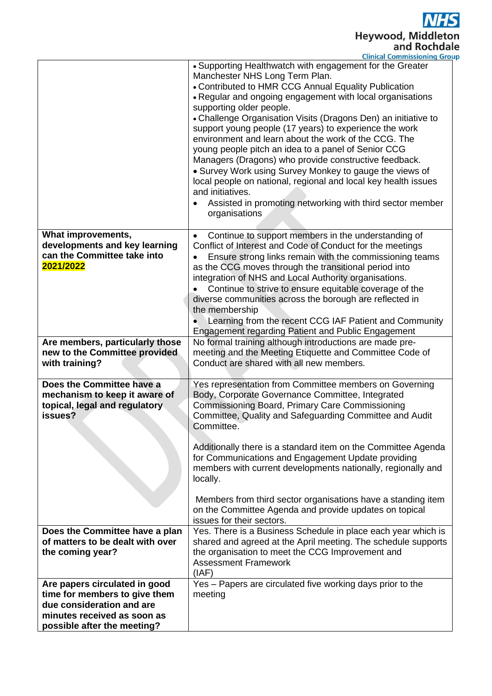**NHS** Heywood, Middleton<br>and Rochdale

|                                                                                                                                                           | <b>Clinical Commissioning Group</b>                                                                                                                                                                                                                                                                                                                                                                                                                                                                                                                                                                                                                                                                                                                                            |
|-----------------------------------------------------------------------------------------------------------------------------------------------------------|--------------------------------------------------------------------------------------------------------------------------------------------------------------------------------------------------------------------------------------------------------------------------------------------------------------------------------------------------------------------------------------------------------------------------------------------------------------------------------------------------------------------------------------------------------------------------------------------------------------------------------------------------------------------------------------------------------------------------------------------------------------------------------|
|                                                                                                                                                           | • Supporting Healthwatch with engagement for the Greater<br>Manchester NHS Long Term Plan.<br>• Contributed to HMR CCG Annual Equality Publication<br>. Regular and ongoing engagement with local organisations<br>supporting older people.<br>• Challenge Organisation Visits (Dragons Den) an initiative to<br>support young people (17 years) to experience the work<br>environment and learn about the work of the CCG. The<br>young people pitch an idea to a panel of Senior CCG<br>Managers (Dragons) who provide constructive feedback.<br>• Survey Work using Survey Monkey to gauge the views of<br>local people on national, regional and local key health issues<br>and initiatives.<br>Assisted in promoting networking with third sector member<br>organisations |
| What improvements,<br>developments and key learning<br>can the Committee take into<br>2021/2022                                                           | Continue to support members in the understanding of<br>Conflict of Interest and Code of Conduct for the meetings<br>Ensure strong links remain with the commissioning teams<br>as the CCG moves through the transitional period into<br>integration of NHS and Local Authority organisations.<br>Continue to strive to ensure equitable coverage of the<br>diverse communities across the borough are reflected in<br>the membership<br>Learning from the recent CCG IAF Patient and Community<br><b>Engagement regarding Patient and Public Engagement</b>                                                                                                                                                                                                                    |
| Are members, particularly those<br>new to the Committee provided<br>with training?                                                                        | No formal training although introductions are made pre-<br>meeting and the Meeting Etiquette and Committee Code of<br>Conduct are shared with all new members.                                                                                                                                                                                                                                                                                                                                                                                                                                                                                                                                                                                                                 |
| Does the Committee have a<br>mechanism to keep it aware of<br>topical, legal and regulatory<br>issues?                                                    | Yes representation from Committee members on Governing<br>Body, Corporate Governance Committee, Integrated<br>Commissioning Board, Primary Care Commissioning<br>Committee, Quality and Safeguarding Committee and Audit<br>Committee.<br>Additionally there is a standard item on the Committee Agenda<br>for Communications and Engagement Update providing<br>members with current developments nationally, regionally and<br>locally.<br>Members from third sector organisations have a standing item<br>on the Committee Agenda and provide updates on topical<br>issues for their sectors.                                                                                                                                                                               |
| Does the Committee have a plan<br>of matters to be dealt with over<br>the coming year?                                                                    | Yes. There is a Business Schedule in place each year which is<br>shared and agreed at the April meeting. The schedule supports<br>the organisation to meet the CCG Improvement and<br><b>Assessment Framework</b><br>(IAF)                                                                                                                                                                                                                                                                                                                                                                                                                                                                                                                                                     |
| Are papers circulated in good<br>time for members to give them<br>due consideration and are<br>minutes received as soon as<br>possible after the meeting? | Yes - Papers are circulated five working days prior to the<br>meeting                                                                                                                                                                                                                                                                                                                                                                                                                                                                                                                                                                                                                                                                                                          |